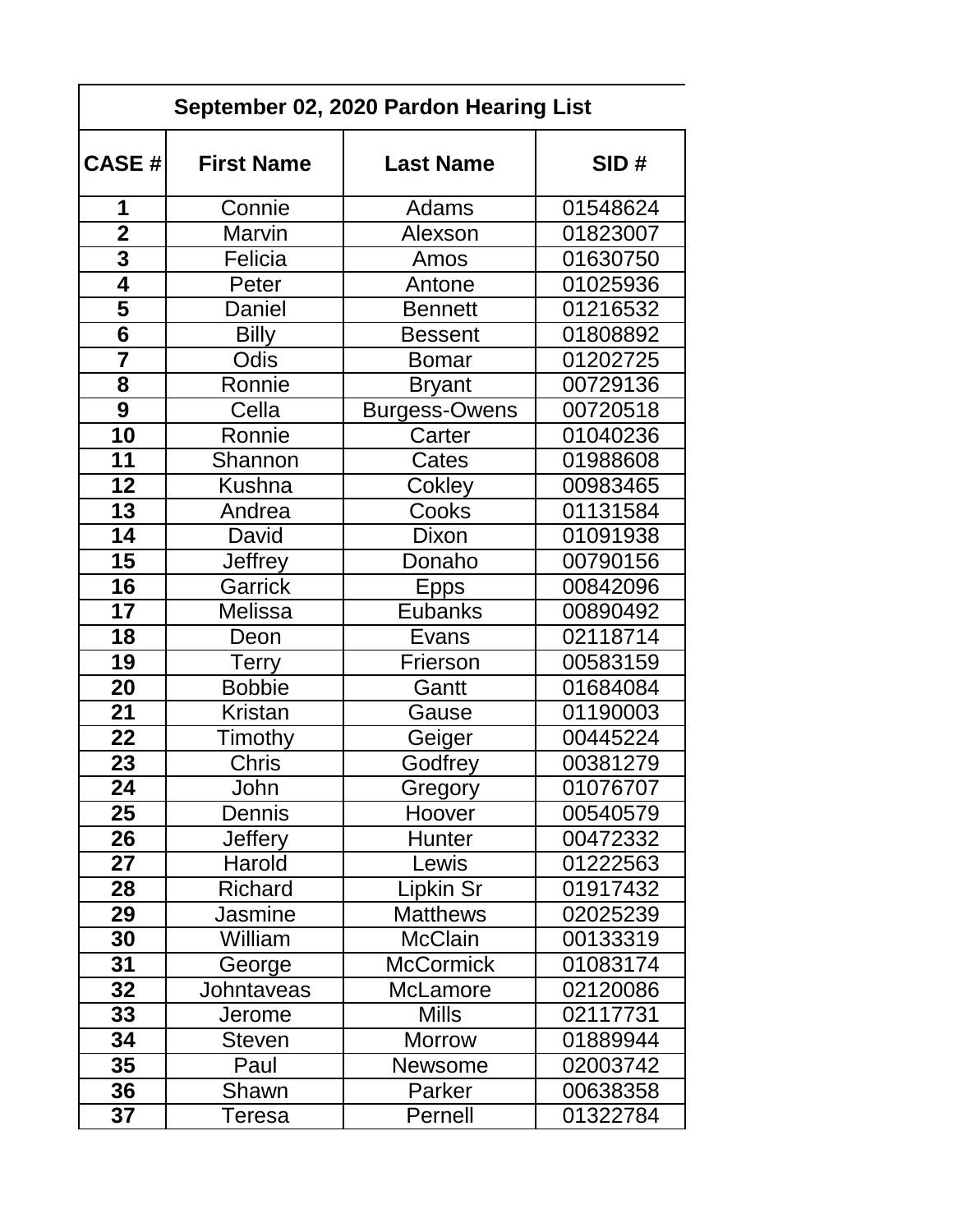| September 02, 2020 Pardon Hearing List |                   |                      |          |  |
|----------------------------------------|-------------------|----------------------|----------|--|
| <b>CASE #</b>                          | <b>First Name</b> | <b>Last Name</b>     | SID#     |  |
| 1                                      | Connie            | Adams                | 01548624 |  |
| $\overline{2}$                         | Marvin            | Alexson              | 01823007 |  |
| 3                                      | Felicia           | Amos                 | 01630750 |  |
| $\overline{\mathbf{4}}$                | Peter             | Antone               | 01025936 |  |
| $\overline{\mathbf{5}}$                | Daniel            | <b>Bennett</b>       | 01216532 |  |
| $\overline{\mathbf{6}}$                | <b>Billy</b>      | Bessent              | 01808892 |  |
| $\overline{\overline{7}}$              | Odis              | Bomar                | 01202725 |  |
| 8                                      | Ronnie            | <b>Bryant</b>        | 00729136 |  |
| $\overline{9}$                         | Cella             | <b>Burgess-Owens</b> | 00720518 |  |
| $\overline{10}$                        | Ronnie            | Carter               | 01040236 |  |
| 11                                     | Shannon           | Cates                | 01988608 |  |
| 12                                     | <b>Kushna</b>     | Cokley               | 00983465 |  |
| 13                                     | Andrea            | Cooks                | 01131584 |  |
| 14                                     | David             | Dixon                | 01091938 |  |
| 15                                     | <b>Jeffrey</b>    | Donaho               | 00790156 |  |
| 16                                     | <b>Garrick</b>    | <b>Epps</b>          | 00842096 |  |
| 17                                     | <b>Melissa</b>    | Eubanks              | 00890492 |  |
| 18                                     | Deon              | Evans                | 02118714 |  |
| 19                                     | <b>Terry</b>      | Frierson             | 00583159 |  |
| 20                                     | <b>Bobbie</b>     | Gantt                | 01684084 |  |
| 21                                     | Kristan           | Gause                | 01190003 |  |
| 22                                     | Timothy           | Geiger               | 00445224 |  |
| 23                                     | Chris             | Godfrey              | 00381279 |  |
| 24                                     | John              | Gregory              | 01076707 |  |
| 25                                     | Dennis            | Hoover               | 00540579 |  |
| 26                                     | <b>Jeffery</b>    | Hunter               | 00472332 |  |
| 27                                     | Harold            | Lewis                | 01222563 |  |
| 28                                     | Richard           | Lipkin Sr            | 01917432 |  |
| 29                                     | Jasmine           | <b>Matthews</b>      | 02025239 |  |
| 30                                     | William           | <b>McClain</b>       | 00133319 |  |
| 31                                     | George            | <b>McCormick</b>     | 01083174 |  |
| 32                                     | Johntaveas        | McLamore             | 02120086 |  |
| 33                                     | Jerome            | <b>Mills</b>         | 02117731 |  |
| 34                                     | <b>Steven</b>     | <b>Morrow</b>        | 01889944 |  |
| 35                                     | Paul              | Newsome              | 02003742 |  |
| 36                                     | Shawn             | Parker               | 00638358 |  |
| 37                                     | Teresa            | Pernell              | 01322784 |  |